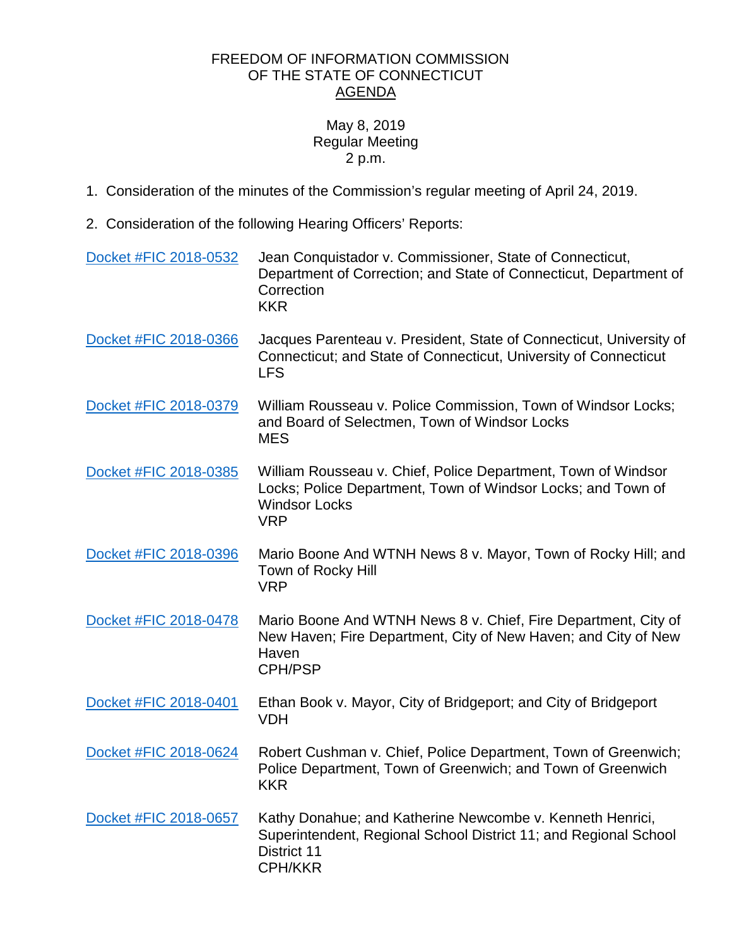## FREEDOM OF INFORMATION COMMISSION OF THE STATE OF CONNECTICUT AGENDA

## May 8, 2019 Regular Meeting 2 p.m.

- 1. Consideration of the minutes of the Commission's regular meeting of April 24, 2019.
- 2. Consideration of the following Hearing Officers' Reports:

| Docket #FIC 2018-0532 | Jean Conquistador v. Commissioner, State of Connecticut,<br>Department of Correction; and State of Connecticut, Department of<br>Correction<br><b>KKR</b>           |
|-----------------------|---------------------------------------------------------------------------------------------------------------------------------------------------------------------|
| Docket #FIC 2018-0366 | Jacques Parenteau v. President, State of Connecticut, University of<br>Connecticut; and State of Connecticut, University of Connecticut<br><b>LFS</b>               |
| Docket #FIC 2018-0379 | William Rousseau v. Police Commission, Town of Windsor Locks;<br>and Board of Selectmen, Town of Windsor Locks<br><b>MES</b>                                        |
| Docket #FIC 2018-0385 | William Rousseau v. Chief, Police Department, Town of Windsor<br>Locks; Police Department, Town of Windsor Locks; and Town of<br><b>Windsor Locks</b><br><b>VRP</b> |
| Docket #FIC 2018-0396 | Mario Boone And WTNH News 8 v. Mayor, Town of Rocky Hill; and<br>Town of Rocky Hill<br><b>VRP</b>                                                                   |
| Docket #FIC 2018-0478 | Mario Boone And WTNH News 8 v. Chief, Fire Department, City of<br>New Haven; Fire Department, City of New Haven; and City of New<br>Haven<br><b>CPH/PSP</b>         |
| Docket #FIC 2018-0401 | Ethan Book v. Mayor, City of Bridgeport; and City of Bridgeport<br><b>VDH</b>                                                                                       |
| Docket #FIC 2018-0624 | Robert Cushman v. Chief, Police Department, Town of Greenwich;<br>Police Department, Town of Greenwich; and Town of Greenwich<br><b>KKR</b>                         |
| Docket #FIC 2018-0657 | Kathy Donahue; and Katherine Newcombe v. Kenneth Henrici,<br>Superintendent, Regional School District 11; and Regional School<br>District 11<br><b>CPH/KKR</b>      |